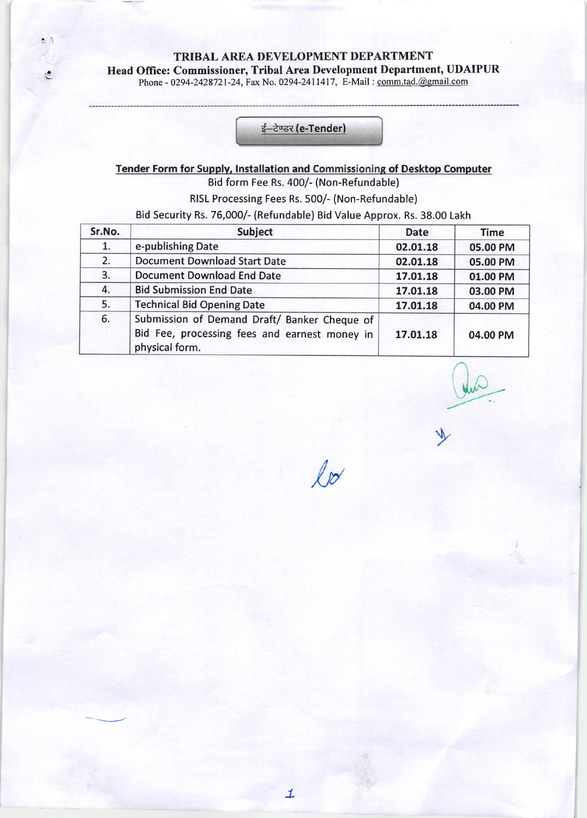TRIBAL AREA DEVELOPMENT DEPARTMENT

### Head Office: Commissioner, Tribal Area Development Department, UDAIPUR

Phone - 0294-2428721-24, Fax No. 0294-2411417, E-Mail : comm.tad.@gmail.com

杂质

池

ई–टेण्डर (e-Tender)

### Tender Form for Supply, Installation and Commissioning of Desktop Computer Bid form Fee Rs. 400/- (Non-Refundable)

RISL Processing Fees Rs. 500/- (Non-Refundable)

Bid Security Rs. 76,000/- (Refundable) Bid Value Approx. Rs. 38.00 Lakh

| Sr.No. | Subject                                       | <b>Date</b> | <b>Time</b> |
|--------|-----------------------------------------------|-------------|-------------|
| 1.     | e-publishing Date                             | 02.01.18    | 05.00 PM    |
| 2.     | <b>Document Download Start Date</b>           | 02.01.18    | 05.00 PM    |
| 3.     | <b>Document Download End Date</b>             | 17.01.18    | 01.00 PM    |
| 4.     | <b>Bid Submission End Date</b>                | 17.01.18    | 03.00 PM    |
| 5.     | <b>Technical Bid Opening Date</b>             | 17.01.18    | 04.00 PM    |
| 6.     | Submission of Demand Draft/ Banker Cheque of  |             |             |
|        | Bid Fee, processing fees and earnest money in | 17.01.18    | 04.00 PM    |
|        | physical form.                                |             |             |

 $ln$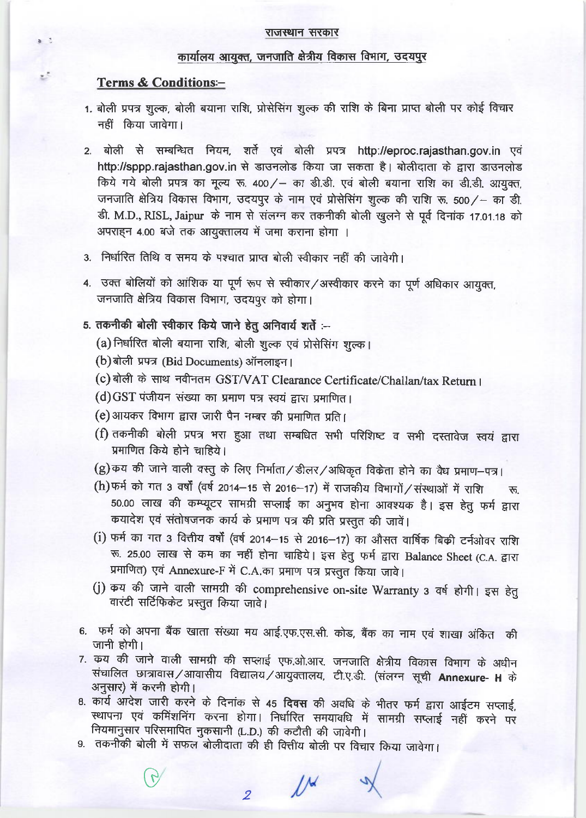#### राजस्थान सरकार

#### कार्यालय आयुक्त, जनजाति क्षेत्रीय विकास विभाग, उदयपुर

#### **Terms & Conditions:-**

ž

- 1. बोली प्रपत्र शुल्क, बोली बयाना राशि, प्रोसेसिंग शुल्क की राशि के बिना प्राप्त बोली पर कोई विचार नहीं किया जावेगा।
- 2. बोली से सम्बन्धित नियम, शर्ते एवं बोली प्रपत्र http://eproc.rajasthan.gov.in एवं http://sppp.rajasthan.gov.in से डाउनलोड किया जा सकता है। बोलीदाता के द्वारा डाउनलोड किये गये बोली प्रपत्र का मूल्य रू. 400/ - का डी.डी. एवं बोली बयाना राशि का डी.डी. आयुक्त, जनजाति क्षेत्रिय विकास विभाग, उदयपुर के नाम एवं प्रोसेसिंग शुल्क की राशि रू. 500 / - का डी. डी. M.D., RISL, Jaipur के नाम से संलग्न कर तकनीकी बोली खुलने से पूर्व दिनांक 17.01.18 को अपराहन 4.00 बजे तक आयुक्तालय में जमा कराना होगा ।
- 3. निर्धारित तिथि व समय के पश्चात प्राप्त बोली स्वीकार नहीं की जावेगी।
- 4. उक्त बोलियों को आंशिक या पूर्ण रूप से स्वीकार/अस्वीकार करने का पूर्ण अधिकार आयुक्त, जनजाति क्षेत्रिय विकास विभाग, उदयपूर को होगा।

### 5. तकनीकी बोली स्वीकार किये जाने हेतू अनिवार्य शर्ते :--

- (a) निर्धारित बोली बयाना राशि, बोली शुल्क एवं प्रोसेसिंग शुल्क।
- (b) बोली प्रपत्र (Bid Documents) ऑनलाइन।
- (c) बोली के साथ नवीनतम GST/VAT Clearance Certificate/Challan/tax Return ।

(d) GST पंजीयन संख्या का प्रमाण पत्र स्वयं द्वारा प्रमाणित।

- (e) आयकर विभाग द्वारा जारी पैन नम्बर की प्रमाणित प्रति।
- (f) तकनीकी बोली प्रपत्र भरा हुआ तथा सम्बधित सभी परिशिष्ट व सभी दस्तावेज स्वयं द्वारा प्रमाणित किये होने चाहिये।
- (g) कय की जाने वाली वस्तु के लिए निर्माता / डीलर / अधिकृत विकेता होने का वैध प्रमाण-पत्र।
- (h) फर्म को गत 3 वर्षों (वर्ष 2014-15 से 2016-17) में राजकीय विभागों / संस्थाओं में राशि रू. 50.00 लाख की कम्प्यूटर सामग्री सप्लाई का अनुभव होना आवश्यक है। इस हेतु फर्म द्वारा कयादेश एवं संतोषजनक कार्य के प्रमाण पत्र की प्रति प्रस्तुत की जावें।
- (i) फर्म का गत 3 वित्तीय वर्षों (वर्ष 2014-15 से 2016-17) का औसत वार्षिक बिक्री टर्नओवर राशि रू. 25.00 लाख से कम का नहीं होना चाहिये। इस हेतु फर्म द्वारा Balance Sheet (C.A. द्वारा प्रमाणित) एवं Annexure-F में C.A.का प्रमाण पत्र प्रस्तुत किया जावे।
- (j) कय की जाने वाली सामग्री की comprehensive on-site Warranty 3 वर्ष होगी। इस हेतु वारंटी सर्टिफिकेट प्रस्तुत किया जावे।
- 6. फर्म को अपना बैंक खाता संख्या मय आई.एफ.एस.सी. कोड, बैंक का नाम एवं शाखा अंकित की जानी होगी।
- 7. कय की जाने वाली सामग्री की सप्लाई एफ.ओ.आर. जनजाति क्षेत्रीय विकास विभाग के अधीन संचालित छात्रावास/आवासीय विद्यालय/आयुक्तालय, टी.ए.डी. (संलग्न सूची Annexure- H के अनुसार) में करनी होगी।
- 8. कार्य आदेश जारी करने के दिनांक से 45 दिवस की अवधि के भीतर फर्म द्वारा आईटम सप्लाई, स्थापना एवं कमिंशनिंग करना होगा। निर्धारित समयावधि में सामग्री सप्लाई नहीं करने पर नियमानुसार परिसमापित नुकसानी (L.D.) की कटौती की जावेगी।
- 9. तकनीकी बोली में सफल बोलीदाता की ही वित्तीय बोली पर विचार किया जावेगा।

2  $\mathcal{U}^{\mathcal{U}}$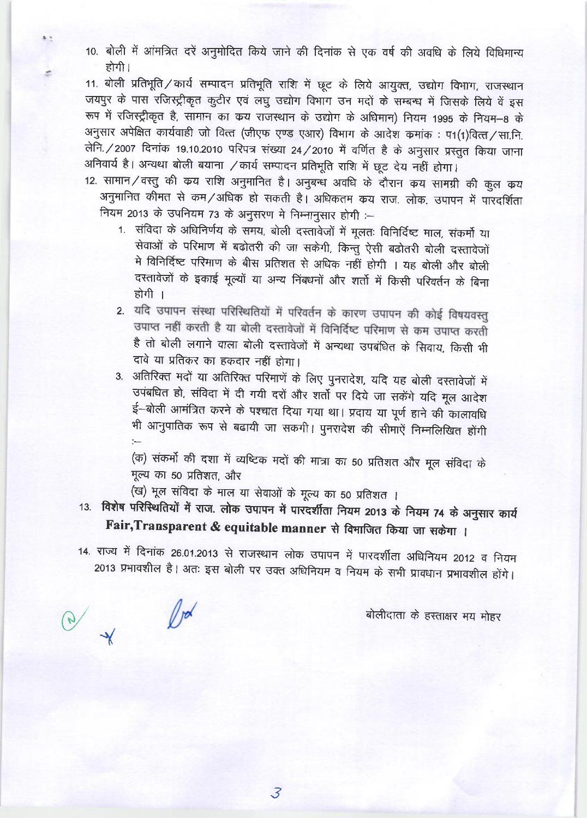10. बोली में आंमत्रित दरें अनुमोदित किये जाने की दिनांक से एक वर्ष की अवधि के लिये विधिमान्य होगी।

11. बोली प्रतिभूति / कार्य सम्पादन प्रतिभूति राशि में छूट के लिये आयुक्त, उद्योग विभाग, राजस्थान जयपुर के पास रजिस्ट्रीकृत कुटीर एवं लघु उद्योग विभाग उन मदों के सम्बन्ध में जिसके लिये वें इस रूप में रजिस्ट्रीकृत है, सामान का कय राजस्थान के उद्योग के अधिमान) नियम 1995 के नियम-8 के अनुसार अपेक्षित कार्यवाही जो वित्त (जीएफ एण्ड एआर) विभाग के आदेश कमांक: प1(1)वित्त/सा.नि. लेनि. / 2007 दिनांक 19.10.2010 परिपत्र संख्या 24 / 2010 में वर्णित है के अनुसार प्रस्तुत किया जाना अनिवार्य है। अन्यथा बोली बयाना / कार्य सम्पादन प्रतिभूति राशि में छूट देय नहीं होगा।

- 12. सामान/वस्तु की कय राशि अनुमानित है। अनुबन्ध अवधि के दौरान कय सामग्री की कुल कय अनुमानित कीमत से कम/अधिक हो सकती है। अधिकतम कय राज. लोक. उपापन में पारदर्शिता नियम 2013 के उपनियम 73 के अनुसरण मे निम्नानुसार होगी :-
	- 1. संविदा के अधिनिर्णय के समय, बोली दस्तावेजों में मूलतः विनिर्दिष्ट माल, संकर्मो या सेवाओं के परिमाण में बढोतरी की जा सकेगी, किन्तु ऐसी बढोतरी बोली दस्तावेजों मे विनिर्दिष्ट परिमाण के बीस प्रतिशत से अधिक नहीं होगी । यह बोली और बोली दस्तावेजों के इकाई मूल्यों या अन्य निंबधनों और शर्तो में किसी परिवर्तन के बिना होगी ।
	- 2. यदि उपापन संस्था परिस्थितियों में परिवर्तन के कारण उपापन की कोई विषयवस्तु उपाप्त नहीं करती है या बोली दस्तावेजों में विनिर्दिष्ट परिमाण से कम उपाप्त करती है तो बोली लगाने वाला बोली दस्तावेजों में अन्यथा उपबंधित के सिवाय, किसी भी दावे या प्रतिकर का हकदार नहीं होगा।
	- 3. अतिरिक्त मदों या अतिरिक्त परिमाणें के लिए पुनरादेश, यदि यह बोली दस्तावेजों में उपबधित हो, संविदा में दी गयी दरों और शर्तो पर दिये जा सकेंगे यदि मूल आदेश ई-बोली आमंत्रित करने के पश्चात दिया गया था। प्रदाय या पूर्ण हाने की कालावधि भी आनुपातिक रूप से बढायी जा सकगी। पुनरादेश की सीमाऐं निम्नलिखित होंगी

(क) संकर्मो की दशा में व्यष्टिक मदों की मात्रा का 50 प्रतिशत और मूल संविदा के मूल्य का 50 प्रतिशत, और

(ख) मूल संविदा के माल या सेवाओं के मूल्य का 50 प्रतिशत ।

 $\mathbb{D}^{\mathcal{A}}$ 

- 13. विशेष परिस्थितियों में राज. लोक उपापन में पारदर्शीता नियम 2013 के नियम 74 के अनुसार कार्य Fair, Transparent & equitable manner से विभाजित किया जा सकेगा ।
- 14. राज्य में दिनांक 26.01.2013 से राजस्थान लोक उपापन में पारदर्शीता अधिनियम 2012 व नियम 2013 प्रभावशील है। अतः इस बोली पर उक्त अधिनियम व नियम के सभी प्रावधान प्रभावशील होंगे।

बोलीदाता के हस्ताक्षर मय मोहर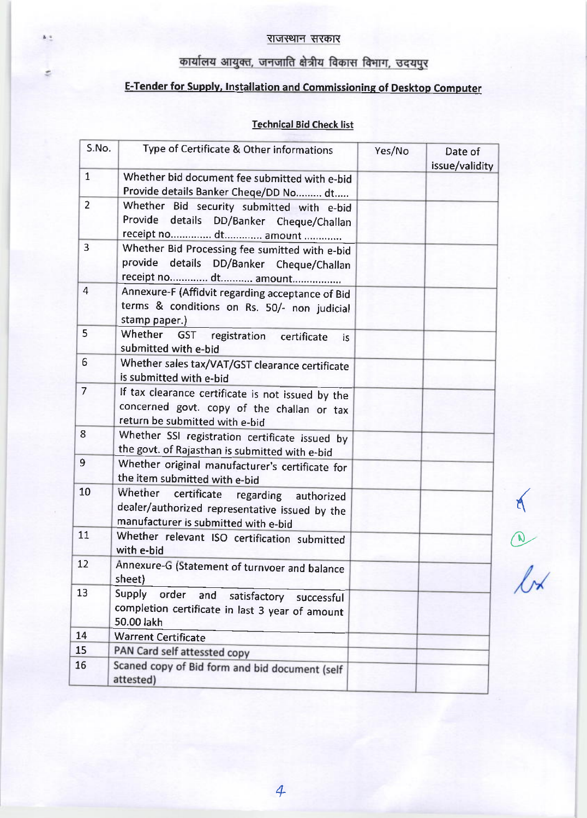### राजस्थान सरकार

he.

¢.

# कार्यालय आयुक्त, जनजाति क्षेत्रीय विकास विभाग, उदयपुर

# E-Tender for Supplv, lnstallation and Commissionins of Desktop Computer

### Technical Bid Check list

| S.No.          | Type of Certificate & Other informations                                                                                           | Yes/No | Date of<br>issue/validity |
|----------------|------------------------------------------------------------------------------------------------------------------------------------|--------|---------------------------|
| $\mathbf{1}$   | Whether bid document fee submitted with e-bid<br>Provide details Banker Cheqe/DD No  dt                                            |        |                           |
| $\overline{2}$ | Whether Bid security submitted with e-bid<br>Provide<br>details DD/Banker Cheque/Challan<br>receipt no dt amount                   |        |                           |
| 3              | Whether Bid Processing fee sumitted with e-bid<br>provide details DD/Banker Cheque/Challan<br>receipt no dt amount                 |        |                           |
| $\overline{4}$ | Annexure-F (Affidvit regarding acceptance of Bid<br>terms & conditions on Rs. 50/- non judicial<br>stamp paper.)                   |        |                           |
| 5              | Whether GST registration<br>certificate<br>is.<br>submitted with e-bid                                                             |        |                           |
| 6              | Whether sales tax/VAT/GST clearance certificate<br>is submitted with e-bid                                                         |        |                           |
| $\overline{7}$ | If tax clearance certificate is not issued by the<br>concerned govt. copy of the challan or tax<br>return be submitted with e-bid  |        |                           |
| 8              | Whether SSI registration certificate issued by<br>the govt. of Rajasthan is submitted with e-bid                                   |        |                           |
| 9              | Whether original manufacturer's certificate for<br>the item submitted with e-bid                                                   |        |                           |
| 10             | Whether certificate regarding authorized<br>dealer/authorized representative issued by the<br>manufacturer is submitted with e-bid |        |                           |
| 11             | Whether relevant ISO certification submitted<br>with e-bid                                                                         |        |                           |
| 12             | Annexure-G (Statement of turnvoer and balance<br>sheet)                                                                            |        |                           |
| 13             | Supply<br>order<br>and<br>satisfactory<br>successful<br>completion certificate in last 3 year of amount<br>50.00 lakh              |        |                           |
| 14             | <b>Warrent Certificate</b>                                                                                                         |        |                           |
| 15             | PAN Card self attessted copy                                                                                                       |        |                           |
| 16             | Scaned copy of Bid form and bid document (self<br>attested)                                                                        |        |                           |

{

O.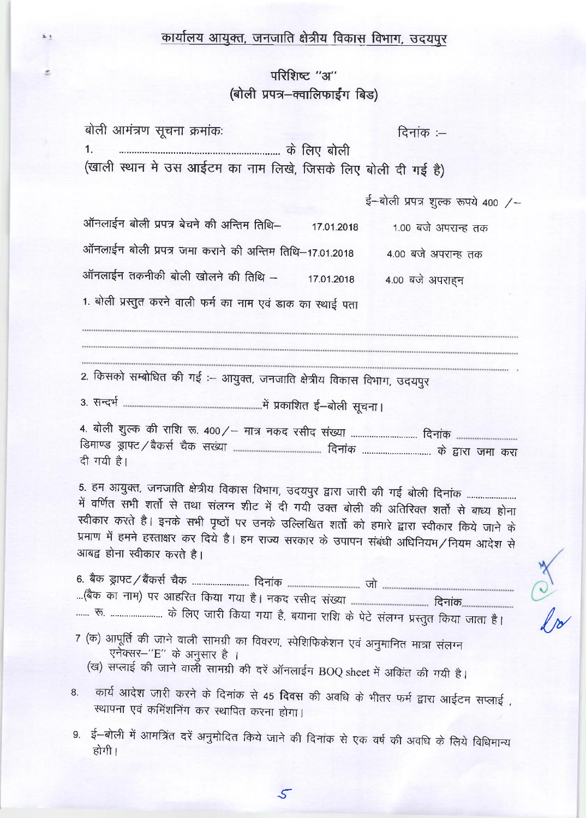## कार्यालय आयुक्त, जनजाति क्षेत्रीय विकास विभाग, उदयपुर

### परिशिष्ट "अ" (बोली प्रपत्र-क्वालिफाईंग बिड)

z,

| बोली आमंत्रण सूचना क्रमांकः                                                                                                                                                                                                                                                                                                                                                                                  | दिनांक :—                         |
|--------------------------------------------------------------------------------------------------------------------------------------------------------------------------------------------------------------------------------------------------------------------------------------------------------------------------------------------------------------------------------------------------------------|-----------------------------------|
| (खाली स्थान मे उस आईटम का नाम लिखे, जिसके लिए बोली दी गई है)                                                                                                                                                                                                                                                                                                                                                 |                                   |
|                                                                                                                                                                                                                                                                                                                                                                                                              | ई-बोली प्रपत्र शुल्क रूपये 400 /- |
| ऑनलाईन बोली प्रपत्र बेचने की अन्तिम तिथि-<br>17.01.2018                                                                                                                                                                                                                                                                                                                                                      | 1.00 बजे अपरान्ह तक               |
| ऑनलाईन बोली प्रपत्र जमा कराने की अन्तिम तिथि–17.01.2018                                                                                                                                                                                                                                                                                                                                                      | 4.00 बजे अपरान्ह तक               |
| ऑनलाईन तकनीकी बोली खोलने की तिथि -<br>17.01.2018                                                                                                                                                                                                                                                                                                                                                             | 4.00 बजे अपराहन                   |
| 1. बोली प्रस्तुत करने वाली फर्म का नाम एवं डाक का स्थाई पता                                                                                                                                                                                                                                                                                                                                                  |                                   |
|                                                                                                                                                                                                                                                                                                                                                                                                              |                                   |
| 2. किसको सम्बोधित की गई :- आयुक्त, जनजाति क्षेत्रीय विकास विभाग, उदयपुर                                                                                                                                                                                                                                                                                                                                      |                                   |
|                                                                                                                                                                                                                                                                                                                                                                                                              |                                   |
| दी गयी है।                                                                                                                                                                                                                                                                                                                                                                                                   |                                   |
| 5. हम आयुक्त, जनजाति क्षेत्रीय विकास विभाग, उदयपुर द्वारा जारी की गई बोली दिनांक<br>में वर्णित सभी शर्तो से तथा संलग्न शीट में दी गयी उक्त बोली की अतिरिक्त शर्तो से बाध्य होना<br>स्वीकार करते है। इनके सभी पृष्ठों पर उनके उल्लिखित शर्तो को हमारे द्वारा स्वीकार किये जाने के<br>प्रमाण में हमने हस्ताक्षर कर दिये है। हम राज्य सरकार के उपापन संबंधी अधिनियम/नियम आदेश से<br>आबद्व होना स्वीकार करते है। |                                   |
| रू.  के लिए जारी किया गया है, बयाना राशि के पेटे संलग्न प्रस्तुत किया जाता है।                                                                                                                                                                                                                                                                                                                               |                                   |
| 7 (क) आपूर्ति की जाने वाली सामग्री का विवरण, स्पेशिफिकेशन एवं अनुमानित मात्रा संलग्न<br>एनेक्सर-''E'' के अनुसार है ।<br>(ख) सप्लाई की जाने वाली सामग्री की दरें ऑनलाईन BOQ sheet में अकिंत की गयी है।                                                                                                                                                                                                        |                                   |

कार्य आदेश जारी करने के दिनांक से 45 दिवस की अवधि के भीतर फर्म द्वारा आईटम सप्लाई, 8. स्थापना एवं कमिंशनिंग कर स्थापित करना होगा।

No 2

9. ई-बोली में आमत्रिंत दरें अनुमोदित किये जाने की दिनांक से एक वर्ष की अवधि के लिये विधिमान्य होगी |

 $\mathcal{S}$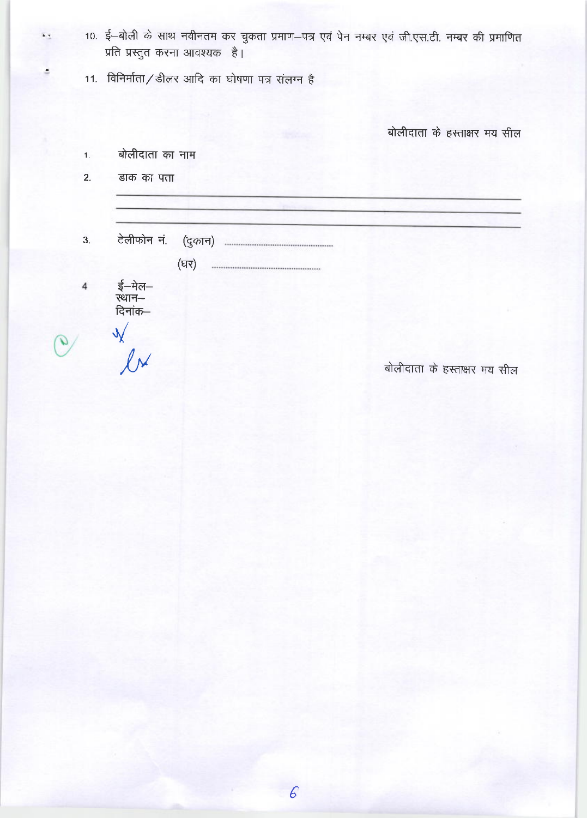10. ई-बोली के साथ नवीनतम कर चुकता प्रमाण-पत्र एवं पेन नम्बर एवं जी.एस.टी. नम्बर की प्रमाणित प्रति प्रस्तुत करना आवश्यक है।

11. विनिर्माता/डीलर आदि का घोषणा पत्र संलग्न है

(घर)

बोलीदाता के हस्ताक्षर मय सील

| बोलीदाता का नाम |  |
|-----------------|--|

 $2<sub>1</sub>$ डाक का पता

3.

4

ई—मेल—<br>स्थान—<br>दिनाक—

 $\frac{1}{2}$  $\mathcal{Q}$ 

 $\overline{\mathbf{v}}_i$ 

÷

बोलीदाता के हस्ताक्षर मय सील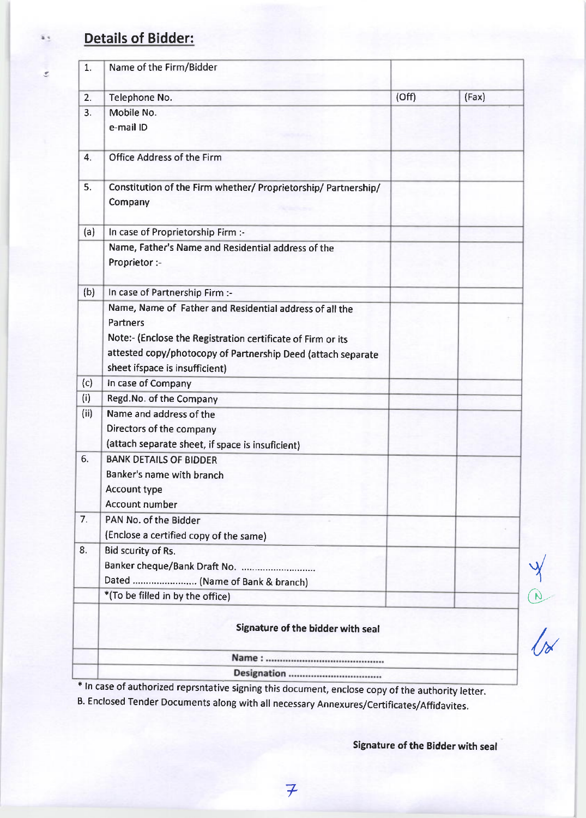# Details of Bidder:

 $\mathcal{Z}$ 

|      | Signature of the bidder with seal                              |       |       |
|------|----------------------------------------------------------------|-------|-------|
|      | *(To be filled in by the office)                               |       |       |
|      | Dated  (Name of Bank & branch)                                 |       |       |
|      | Banker cheque/Bank Draft No.                                   |       |       |
| 8.   | <b>Bid scurity of Rs.</b>                                      |       |       |
|      | (Enclose a certified copy of the same)                         |       |       |
| 7.   | PAN No. of the Bidder                                          |       |       |
|      | <b>Account number</b>                                          |       |       |
|      | <b>Account type</b>                                            |       |       |
|      | Banker's name with branch                                      |       |       |
| 6.   | <b>BANK DETAILS OF BIDDER</b>                                  |       |       |
|      | (attach separate sheet, if space is insuficient)               |       |       |
|      | Directors of the company                                       |       |       |
| (ii) | Name and address of the                                        |       |       |
| (i)  | Regd.No. of the Company                                        |       |       |
| (c)  | In case of Company                                             |       |       |
|      | sheet ifspace is insufficient)                                 |       |       |
|      | attested copy/photocopy of Partnership Deed (attach separate   |       |       |
|      | Note:- (Enclose the Registration certificate of Firm or its    |       |       |
|      | Partners                                                       |       |       |
|      | Name, Name of Father and Residential address of all the        |       |       |
| (b)  | In case of Partnership Firm :-                                 |       |       |
|      | Proprietor :-                                                  |       |       |
|      | Name, Father's Name and Residential address of the             |       |       |
| (a)  | In case of Proprietorship Firm :-                              |       |       |
|      | Company                                                        |       |       |
| 5.   | Constitution of the Firm whether/ Proprietorship/ Partnership/ |       |       |
| 4.   | Office Address of the Firm                                     |       |       |
|      | e-mail ID                                                      |       |       |
| 3.   | Mobile No.                                                     |       |       |
| 2.   | Telephone No.                                                  | (Off) | (Fax) |
|      |                                                                |       |       |
| 1.   | Name of the Firm/Bidder                                        |       |       |

<sup>+</sup>ln case of authorized reprsntative signing this document, enclose copy of the authority letter.

B. Enclosed Tender Documents along with all necessary Annexures/certificates/Affidavites.

Signature of the Bidder with seal

,/

 $\overline{\omega}$ 

 $\sqrt{\alpha}$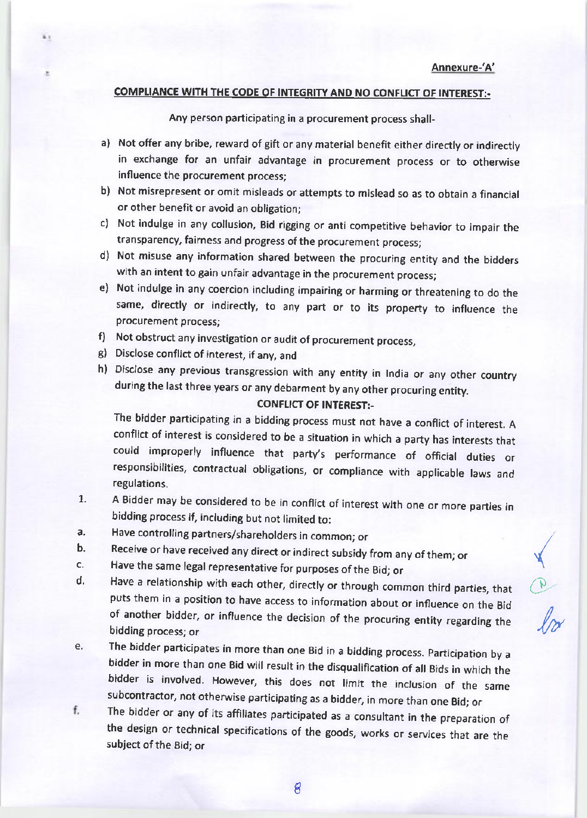(

o-

 $\cal U$ 

### COMPLIANCE WITH THE CODE OF INTEGRITY AND NO CONFLICT OF INTEREST:-

Any person participating in a procurement process shall-

- a) Not offer any bribe, reward of gift or any material benefit either directly or indirectly in exchange for an unfair advantage in procurement process or to otherwise influence the procurement process;
- b) Not misrepresent or omit misleads or attempts to mislead so as to obtain a financial or other benefit or avoid an obligation;
- c) Not indulge in any collusion, Bid rigging or anti competitive behavior to lmpair the transparency, fairness and progress of the procurement process;
- d) Not misuse any information shared between the procuring entity and the bidders with an intent to gain unfair advantage in the procurement process;
- e) Not indulge in any coercion including impairing or harming or threatening to do the same, directly or indirectly, to any part or to its property to lnfluence the procurement process;
- f) Not obstruct any investigation or audit of procurement process,
- e) Disclose conflict of interest, ifany, and
- h) Disclose any previous transgression with any entity in lndia or any other country during the last three years or any debarment by any other procuring entity.

#### CONFLICT OF INTEREST:-

The bidder participating in a bidding process must not have a conflict of interest. A conflict of interest is considered to be a situation in which a party has interests that could improperly influence that party's performance of official duties or responsibilities, contractual obligations, or compliance with applicable laws and regulations.

- A Bidder may be considered to be in conflict of interest with one or more parties in bidding process if, including but not limited to: 7.
- Have controlling partners/shareholders in common; or a.
- Receive or have received any direct or indirect subsidy from any of them; or b.
- Have the same legal representative for purposes of the Bid; or c,
- Have a relationship with each other, directly or through common third parties, that puts them in a position to have access to information about or influence on the Bid of another bidder, or influence the decision of the procuring entity regarding the bidding process; or d.
- The bidder participates in more than one Bid in a bidding process. Participation by a<br>bidder in more than one Bid will result in the disqualification of all Bids in which the bidder is involved. However, this does not limit the inclusion of the same subcontractor, not otherwise participating as a bidder, in more than one Bid; or e,
- The bidder or any of its affiliates participated as a consultant in the preparation of f. the design or technical specifications of the goods, works or servjces that are the subject of the Bid; or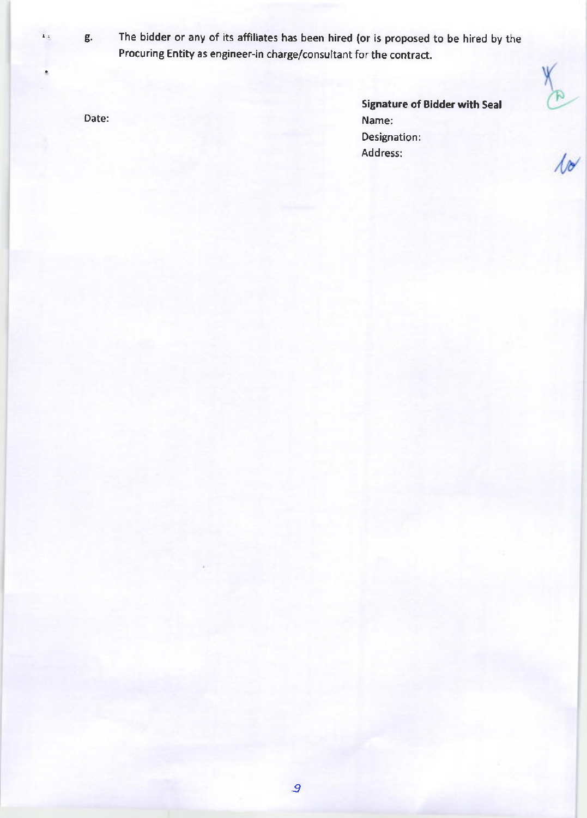÷

.. g. The bidder or any of its affiliates has been hired (or is proposed to be hired by the Procuring Entity as engineer-in charge/consultant for the contract.

Date:

Signature of Bldder with Seal Name: Designation: Address:

 $rac{1}{\sqrt{2}}$